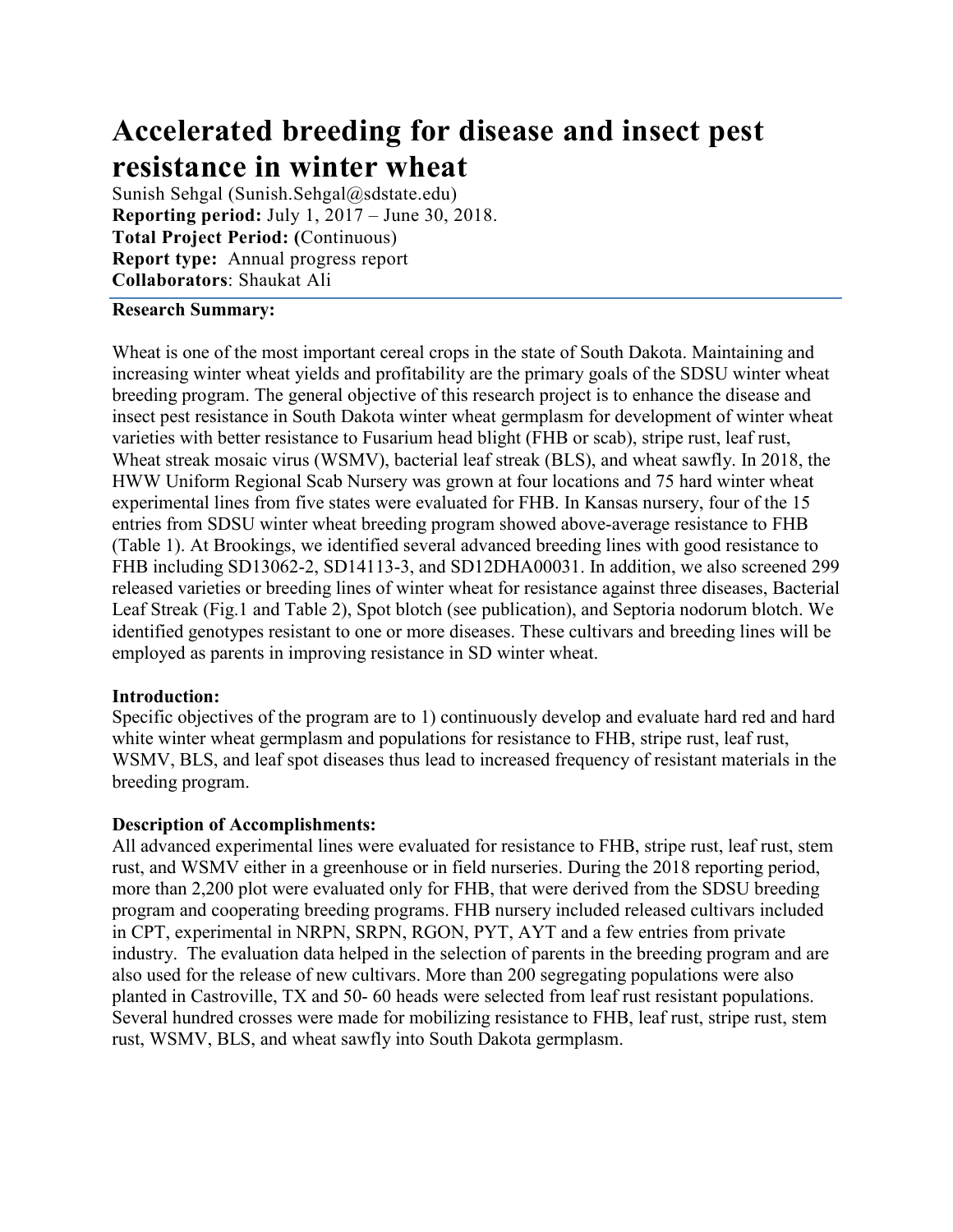# Accelerated breeding for disease and insect pest resistance in winter wheat **Accelerated breeding for disease and insect pe**<br>**resistance in winter wheat**<br>Sunish Sehgal (Sunish.Sehgal@sdstate.edu)<br>Reporting period: July 1, 2017 – June 30, 2018.<br>Total Project Period: (Continuous)<br>Report type: Annual **Accelerated breeding for disease and insect pest<br>resistance in winter wheat**<br>Sunish Sehgal (Sunish.Sehgal@sdstate.edu)<br>Reporting period: July 1, 2017 – June 30, 2018.<br>Total Project Period: (Continuous)<br>Report type: Annual **Accelerated breeding for disease and insect pes**<br> **resistance in winter wheat**<br>
Sunish Sehgal (Sunish.Sehgal@sdstate.edu)<br>
Reporting period: July 1, 2017 – June 30, 2018.<br>
Total Project Period: (Continuous)<br>
Report type:

Reporting period: July 1, 2017 – June 30, 2018. Total Project Period: (Continuous)

## Research Summary:

Wheat is one of the most important cereal crops in the state of South Dakota. Maintaining and increasing winter wheat yields and profitability are the primary goals of the SDSU winter wheat breeding program. The general objective of this research project is to enhance the disease and insect pest resistance in South Dakota winter wheat germplasm for development of winter wheat varieties with better resistance to Fusarium head blight (FHB or scab), stripe rust, leaf rust, **Accelerated breeding for disease and insect pest**<br>**resistance in winter wheat**<br>**Strains** behal schenal (Ruinish.Schenal(golastancedu)<br>**Reporting period:** UN1, 2017 – June 30, 2018.<br>**Total Project Period:** (Continuous)<br> HWW Uniform Regional Scab Nursery was grown at four locations and 75 hard winter wheat experimental lines from five states were evaluated for FHB. In Kansas nursery, four of the 15 entries from SDSU winter wheat breeding program showed above-average resistance to FHB (Table 1). At Brookings, we identified several advanced breeding lines with good resistance to **FESISTANCE IN WINTEP WIREN**<br>Sumsis foshgal (Slouish, Schepal (glodstate.cedu)<br>Reporting period:  $\int$ Unity 1, 2017 – June 30, 2018.<br>**Report type:** Annual progress report<br>Collaborators: Shaukat Ali<br>Incensing winder when in Sunish Sehgal (Sunish.Sehgal@sdstate.edu)<br> **Report ing period**: July 1, 2017 – June 30, 2018.<br> **Resort type:** Ammual progress report<br> **Collaborators:** Shaukat Ali<br> **Collaborators:** Shaukat Ali<br> **Collaborators:** Shaukat Ali Leaf Streak (Fig.1 and Table 2), Spot blotch (see publication), and Septoria nodorum blotch. We identified genotypes resistant to one or more diseases. These cultivars and breeding lines will be employed as parents in improving resistance in SD winter wheat. The mean of the mean of the game of the spot of the spot of the spot of the SDSU winter wheat increasing winter wheat bytedof instereschi propies is to enhance the disease and broad to person the general objective of this FIWW Uniform Regional Scab Nursery was grown at four locations and 75 hard winter wheat<br>
HWW Uniform Regional Scab Nursery was grown at four locations and 75 hard winter wheat<br>
experimental lines from five states were eval more than 2,200 plots and the state were vealuated for FHB. In Kansas nursery, four of the 15 entires from five states were evaluated for FHB. In Kansas nursery, four of the 15 entires from SDSU winter when breeding progra

# Introduction:

Specific objectives of the program are to 1) continuously develop and evaluate hard red and hard white winter wheat germplasm and populations for resistance to FHB, stripe rust, leaf rust, breeding program.

# Description of Accomplishments:

All advanced experimental lines were evaluated for resistance to FHB, stripe rust, leaf rust, stem program and cooperating breeding programs. FHB nursery included released cultivars included in CPT, experimental in NRPN, SRPN, RGON, PYT, AYT and a few entries from private industry. The evaluation data helped in the selection of parents in the breeding program and are also used for the release of new cultivars. More than 200 segregating populations were also planted in Castroville, TX and 50- 60 heads were selected from leaf rust resistant populations. Several hundred crosses were made for mobilizing resistance to FHB, leaf rust, stripe rust, stem resolution and conservation in the most controlled and properties of the most conservation:<br>
Specific objectives of the program are to 1) continuously develop and evaluate hard red and hard<br>
Introduction:<br>
Specific objecti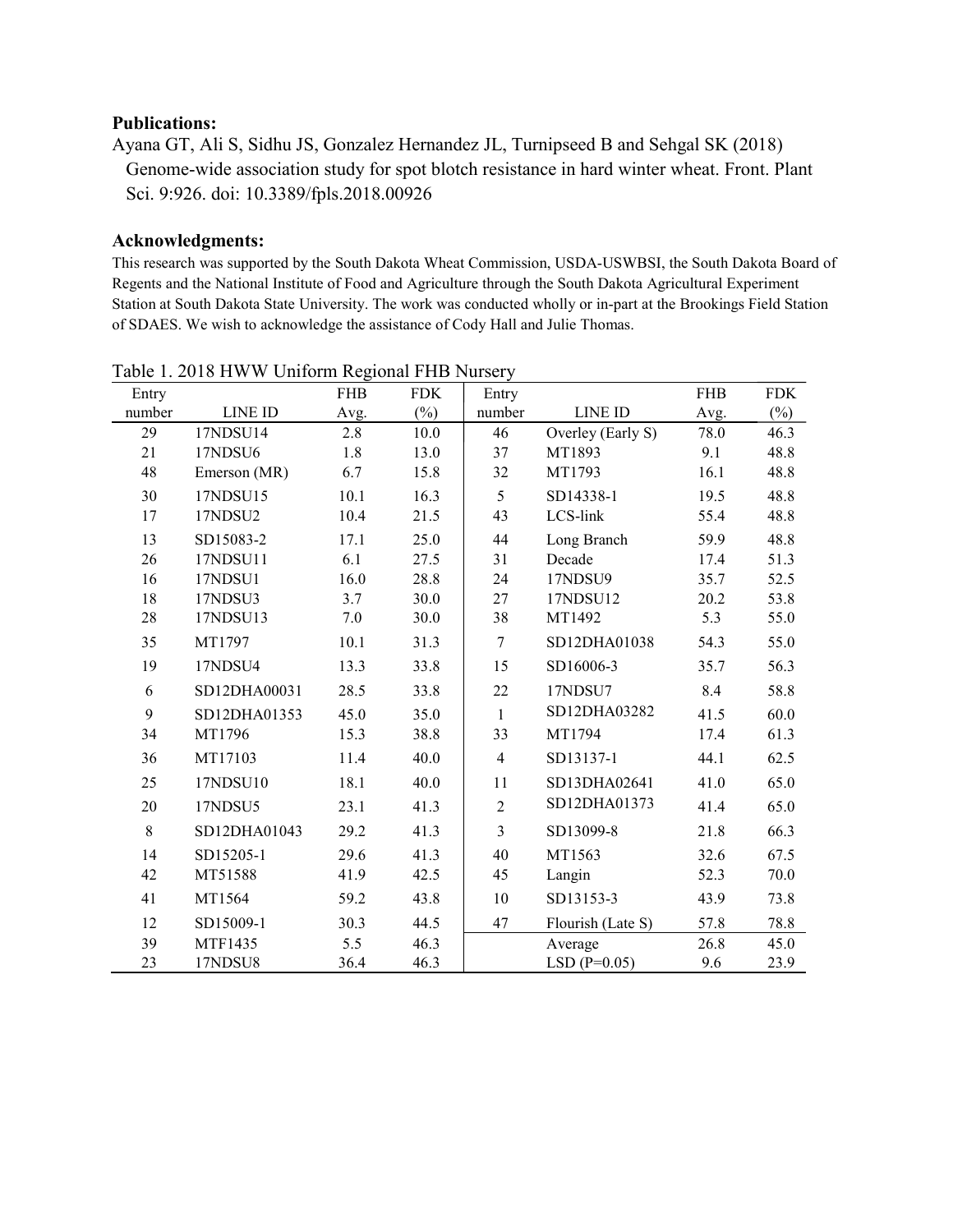### Publications:

### Acknowledgments:

This research was supported by the South Dakota Wheat Commission, USDA-USWBSI, the South Dakota Board of Regents and the National Institute of Food and Agriculture through the South Dakota Agricultural Experiment **Publications:**<br>
Ayana GT, Ali S, Sidhu JS, Gonzalez Hernandez JL, Turnipseed B and Sehgal SK (2018)<br>
Genome-wide association study for spot blotch resistance in hard winter wheat. Front. Plant<br>
Sci. 9:926. doi: 10.3389/f **Publications:**<br> **Ayana GT, Ali S, Sidhu JS, Gonzalez Hernandez JL, Turnipseed B and Sehgal SK (2018)**<br>
Genome-wide association study for spot blotch resistance in hard winter wheat. Front. Plant<br>
Sci. 9:926. doi: 10.3389

| <b>Publications:</b> |                                                                                |            |            |                |                                                                                                                   |            |            |
|----------------------|--------------------------------------------------------------------------------|------------|------------|----------------|-------------------------------------------------------------------------------------------------------------------|------------|------------|
|                      |                                                                                |            |            |                | Ayana GT, Ali S, Sidhu JS, Gonzalez Hernandez JL, Turnipseed B and Sehgal SK (2018)                               |            |            |
|                      | Sci. 9:926. doi: 10.3389/fpls.2018.00926                                       |            |            |                | Genome-wide association study for spot blotch resistance in hard winter wheat. Front. Plant                       |            |            |
|                      | <b>Acknowledgments:</b>                                                        |            |            |                |                                                                                                                   |            |            |
|                      |                                                                                |            |            |                | This research was supported by the South Dakota Wheat Commission, USDA-USWBSI, the South Dakota Board of          |            |            |
|                      |                                                                                |            |            |                | Regents and the National Institute of Food and Agriculture through the South Dakota Agricultural Experiment       |            |            |
|                      |                                                                                |            |            |                | Station at South Dakota State University. The work was conducted wholly or in-part at the Brookings Field Station |            |            |
|                      | of SDAES. We wish to acknowledge the assistance of Cody Hall and Julie Thomas. |            |            |                |                                                                                                                   |            |            |
|                      |                                                                                |            |            |                |                                                                                                                   |            |            |
|                      | Table 1. 2018 HWW Uniform Regional FHB Nursery                                 |            |            |                |                                                                                                                   |            |            |
| Entry                |                                                                                | <b>FHB</b> | <b>FDK</b> | Entry          |                                                                                                                   | <b>FHB</b> | <b>FDK</b> |
| number               | LINE ID                                                                        | Avg.       | $(\%)$     | number         | LINE ID                                                                                                           | Avg.       | $(\%)$     |
| 29                   | 17NDSU14                                                                       | 2.8        | 10.0       | 46             | Overley (Early S)                                                                                                 | 78.0       | 46.3       |
| 21                   | 17NDSU6                                                                        | 1.8        | 13.0       | 37             | MT1893                                                                                                            | 9.1        | 48.8       |
| 48                   | Emerson (MR)                                                                   | 6.7        | 15.8       | 32             | MT1793                                                                                                            | 16.1       | 48.8       |
| 30                   | 17NDSU15                                                                       | 10.1       | 16.3       | 5              | SD14338-1                                                                                                         | 19.5       | 48.8       |
| 17                   | 17NDSU2                                                                        | 10.4       | 21.5       | 43             | LCS-link                                                                                                          | 55.4       | 48.8       |
| 13                   | SD15083-2                                                                      | 17.1       | 25.0       | 44             | Long Branch                                                                                                       | 59.9       | 48.8       |
| 26                   | 17NDSU11                                                                       | 6.1        | 27.5       | 31             | Decade                                                                                                            | 17.4       | 51.3       |
| 16                   | 17NDSU1                                                                        | 16.0       | 28.8       | 24             | 17NDSU9                                                                                                           | 35.7       | 52.5       |
| 18                   | 17NDSU3                                                                        | 3.7        | 30.0       | 27             | 17NDSU12                                                                                                          | 20.2       | 53.8       |
| 28                   | 17NDSU13                                                                       | 7.0        | 30.0       | 38             | MT1492                                                                                                            | 5.3        | 55.0       |
| 35                   | MT1797                                                                         | 10.1       | 31.3       | 7              | SD12DHA01038                                                                                                      | 54.3       | 55.0       |
| 19                   | 17NDSU4                                                                        | 13.3       | 33.8       | 15             | SD16006-3                                                                                                         | 35.7       | 56.3       |
| 6                    | SD12DHA00031                                                                   | 28.5       | 33.8       | 22             | 17NDSU7                                                                                                           | 8.4        | 58.8       |
| 9                    | SD12DHA01353                                                                   | 45.0       | 35.0       | $\mathbf{1}$   | SD12DHA03282                                                                                                      | 41.5       | 60.0       |
| 34                   | MT1796                                                                         | 15.3       | 38.8       | 33             | MT1794                                                                                                            | 17.4       | 61.3       |
| 36                   | MT17103                                                                        | 11.4       | 40.0       | 4              | SD13137-1                                                                                                         | 44.1       | 62.5       |
| 25                   | 17NDSU10                                                                       | 18.1       | 40.0       | 11             | SD13DHA02641                                                                                                      | 41.0       | 65.0       |
| 20                   | 17NDSU5                                                                        | 23.1       | 41.3       | $\overline{2}$ | SD12DHA01373                                                                                                      | 41.4       | 65.0       |
|                      |                                                                                |            |            |                |                                                                                                                   |            |            |
| 8                    | SD12DHA01043                                                                   | 29.2       | 41.3       | 3              | SD13099-8                                                                                                         | 21.8       | 66.3       |
| 14                   | SD15205-1                                                                      | 29.6       | 41.3       | 40             | MT1563                                                                                                            | 32.6       | 67.5       |
| 42                   | MT51588                                                                        | 41.9       | 42.5       | 45             | Langin                                                                                                            | 52.3       | 70.0       |
| 41                   | MT1564                                                                         | 59.2       | 43.8       | 10             | SD13153-3                                                                                                         | 43.9       | 73.8       |
| 12                   | SD15009-1                                                                      | 30.3       | 44.5       | 47             | Flourish (Late S)                                                                                                 | 57.8       | 78.8       |
| 39                   | MTF1435                                                                        | 5.5        | 46.3       |                | Average                                                                                                           | 26.8       | 45.0       |
| 23                   | 17NDSU8                                                                        | 36.4       | 46.3       |                | LSD $(P=0.05)$                                                                                                    | 9.6        | 23.9       |

| Table 1. 2018 HWW Uniform Regional FHB Nursery |  |  |
|------------------------------------------------|--|--|
|                                                |  |  |